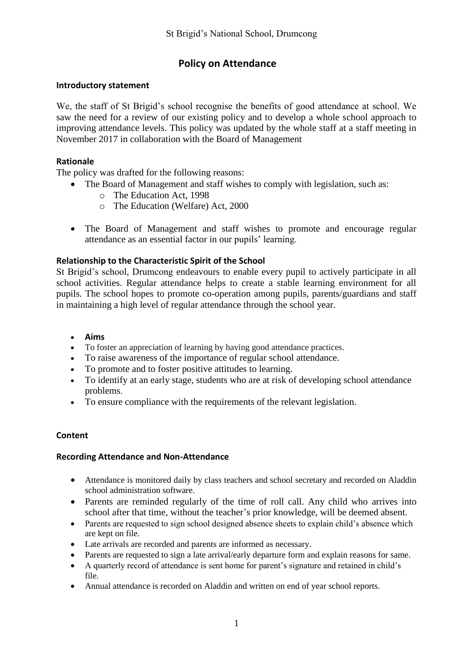# **Policy on Attendance**

## **Introductory statement**

We, the staff of St Brigid's school recognise the benefits of good attendance at school. We saw the need for a review of our existing policy and to develop a whole school approach to improving attendance levels. This policy was updated by the whole staff at a staff meeting in November 2017 in collaboration with the Board of Management

## **Rationale**

The policy was drafted for the following reasons:

- The Board of Management and staff wishes to comply with legislation, such as:
	- o The Education Act, 1998
	- o The Education (Welfare) Act, 2000
- The Board of Management and staff wishes to promote and encourage regular attendance as an essential factor in our pupils' learning.

## **Relationship to the Characteristic Spirit of the School**

St Brigid's school, Drumcong endeavours to enable every pupil to actively participate in all school activities. Regular attendance helps to create a stable learning environment for all pupils. The school hopes to promote co-operation among pupils, parents/guardians and staff in maintaining a high level of regular attendance through the school year.

### **Aims**

- To foster an appreciation of learning by having good attendance practices.
- To raise awareness of the importance of regular school attendance.
- To promote and to foster positive attitudes to learning.
- To identify at an early stage, students who are at risk of developing school attendance problems.
- To ensure compliance with the requirements of the relevant legislation.

### **Content**

### **Recording Attendance and Non-Attendance**

- Attendance is monitored daily by class teachers and school secretary and recorded on Aladdin school administration software.
- Parents are reminded regularly of the time of roll call. Any child who arrives into school after that time, without the teacher's prior knowledge, will be deemed absent.
- Parents are requested to sign school designed absence sheets to explain child's absence which are kept on file.
- Late arrivals are recorded and parents are informed as necessary.
- Parents are requested to sign a late arrival/early departure form and explain reasons for same.
- A quarterly record of attendance is sent home for parent's signature and retained in child's file.
- Annual attendance is recorded on Aladdin and written on end of year school reports.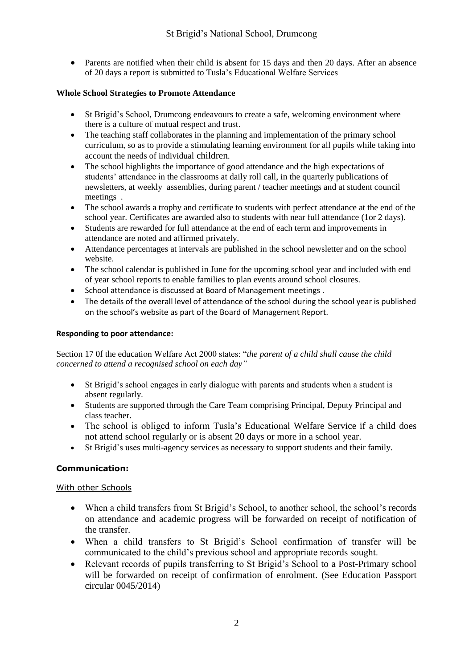• Parents are notified when their child is absent for 15 days and then 20 days. After an absence of 20 days a report is submitted to Tusla's Educational Welfare Services

### **Whole School Strategies to Promote Attendance**

- St Brigid's School, Drumcong endeavours to create a safe, welcoming environment where there is a culture of mutual respect and trust.
- The teaching staff collaborates in the planning and implementation of the primary school curriculum, so as to provide a stimulating learning environment for all pupils while taking into account the needs of individual children.
- The school highlights the importance of good attendance and the high expectations of students' attendance in the classrooms at daily roll call, in the quarterly publications of newsletters, at weekly assemblies, during parent / teacher meetings and at student council meetings .
- The school awards a trophy and certificate to students with perfect attendance at the end of the school year. Certificates are awarded also to students with near full attendance (1or 2 days).
- Students are rewarded for full attendance at the end of each term and improvements in attendance are noted and affirmed privately.
- Attendance percentages at intervals are published in the school newsletter and on the school website.
- The school calendar is published in June for the upcoming school year and included with end of year school reports to enable families to plan events around school closures.
- School attendance is discussed at Board of Management meetings.
- The details of the overall level of attendance of the school during the school year is published on the school's website as part of the Board of Management Report.

#### **Responding to poor attendance:**

Section 17 0f the education Welfare Act 2000 states: "*the parent of a child shall cause the child concerned to attend a recognised school on each day"*

- St Brigid's school engages in early dialogue with parents and students when a student is absent regularly.
- Students are supported through the Care Team comprising Principal, Deputy Principal and class teacher.
- The school is obliged to inform Tusla's Educational Welfare Service if a child does not attend school regularly or is absent 20 days or more in a school year.
- St Brigid's uses multi-agency services as necessary to support students and their family.

### **Communication:**

#### With other Schools

- When a child transfers from St Brigid's School, to another school, the school's records on attendance and academic progress will be forwarded on receipt of notification of the transfer.
- When a child transfers to St Brigid's School confirmation of transfer will be communicated to the child's previous school and appropriate records sought.
- Relevant records of pupils transferring to St Brigid's School to a Post-Primary school will be forwarded on receipt of confirmation of enrolment. (See Education Passport circular 0045/2014)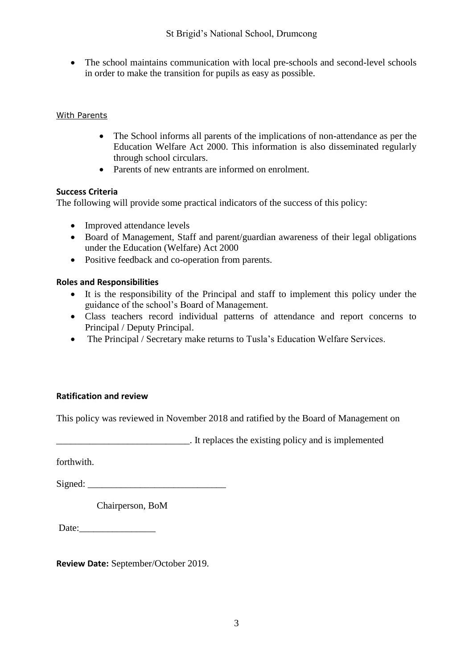• The school maintains communication with local pre-schools and second-level schools in order to make the transition for pupils as easy as possible.

## With Parents

- The School informs all parents of the implications of non-attendance as per the Education Welfare Act 2000. This information is also disseminated regularly through school circulars.
- Parents of new entrants are informed on enrolment.

## **Success Criteria**

The following will provide some practical indicators of the success of this policy:

- Improved attendance levels
- Board of Management, Staff and parent/guardian awareness of their legal obligations under the Education (Welfare) Act 2000
- Positive feedback and co-operation from parents.

## **Roles and Responsibilities**

- It is the responsibility of the Principal and staff to implement this policy under the guidance of the school's Board of Management.
- Class teachers record individual patterns of attendance and report concerns to Principal / Deputy Principal.
- The Principal / Secretary make returns to Tusla's Education Welfare Services.

## **Ratification and review**

This policy was reviewed in November 2018 and ratified by the Board of Management on

\_\_\_\_\_\_\_\_\_\_\_\_\_\_\_\_\_\_\_\_\_\_\_\_\_\_\_\_. It replaces the existing policy and is implemented

forthwith.

 $Signed:$ 

Chairperson, BoM

Date:

**Review Date:** September/October 2019.